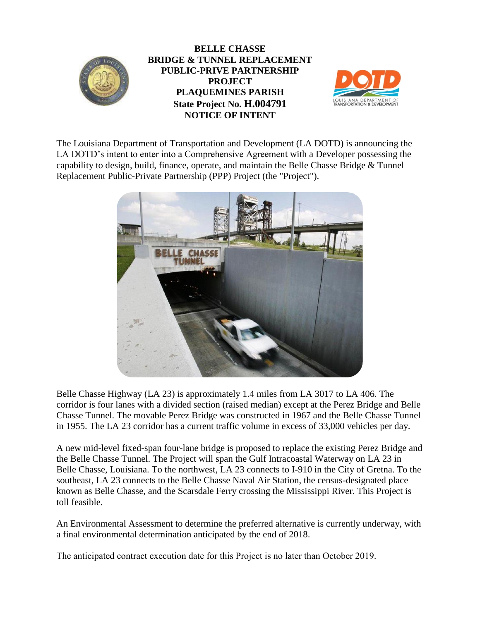

**BELLE CHASSE BRIDGE & TUNNEL REPLACEMENT PUBLIC-PRIVE PARTNERSHIP PROJECT PLAQUEMINES PARISH State Project No. H.004791 NOTICE OF INTENT**



The Louisiana Department of Transportation and Development (LA DOTD) is announcing the LA DOTD's intent to enter into a Comprehensive Agreement with a Developer possessing the capability to design, build, finance, operate, and maintain the Belle Chasse Bridge  $&$  Tunnel Replacement Public-Private Partnership (PPP) Project (the "Project").



Belle Chasse Highway (LA 23) is approximately 1.4 miles from LA 3017 to LA 406. The corridor is four lanes with a divided section (raised median) except at the Perez Bridge and Belle Chasse Tunnel. The movable Perez Bridge was constructed in 1967 and the Belle Chasse Tunnel in 1955. The LA 23 corridor has a current traffic volume in excess of 33,000 vehicles per day.

A new mid-level fixed-span four-lane bridge is proposed to replace the existing Perez Bridge and the Belle Chasse Tunnel. The Project will span the Gulf Intracoastal Waterway on LA 23 in Belle Chasse, Louisiana. To the northwest, LA 23 connects to I-910 in the City of Gretna. To the southeast, LA 23 connects to the Belle Chasse Naval Air Station, the census-designated place known as Belle Chasse, and the Scarsdale Ferry crossing the Mississippi River. This Project is toll feasible.

An Environmental Assessment to determine the preferred alternative is currently underway, with a final environmental determination anticipated by the end of 2018.

The anticipated contract execution date for this Project is no later than October 2019.